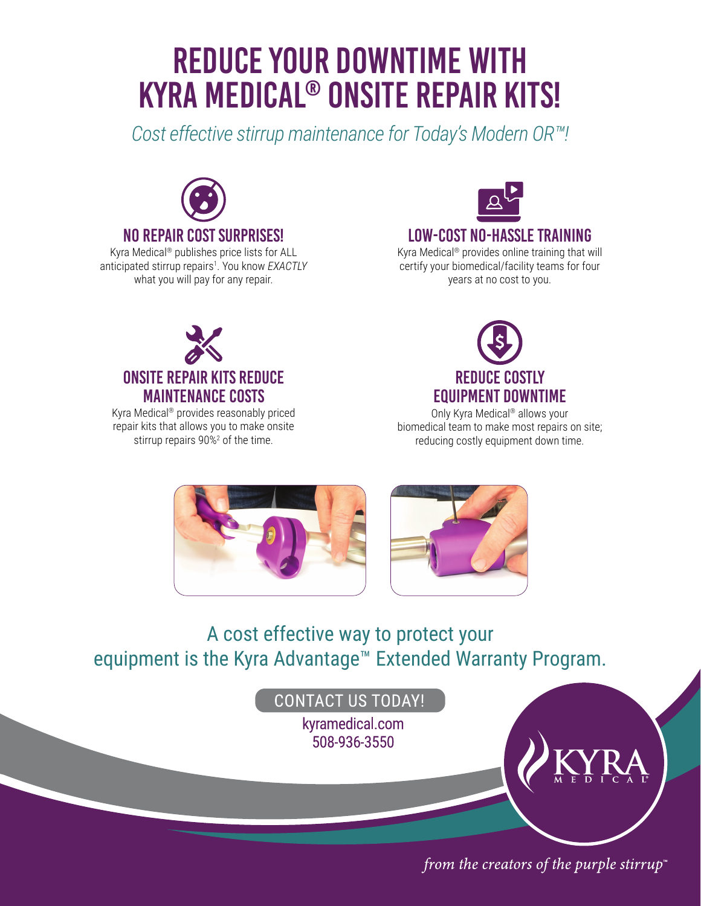# REDUCE YOUR DOWNTIME WITH KYRA MEDICAL® ONSITE REPAIR KITS!

*Cost effective stirrup maintenance for Today's Modern OR™!*



Kyra Medical® publishes price lists for ALL anticipated stirrup repairs1 . You know *EXACTLY*  what you will pay for any repair.



### LOW-COST NO-HASSLE TRAINING

Kyra Medical® provides online training that will certify your biomedical/facility teams for four years at no cost to you.



Kyra Medical® provides reasonably priced repair kits that allows you to make onsite stirrup repairs 90%<sup>2</sup> of the time.



Only Kyra Medical® allows your biomedical team to make most repairs on site; reducing costly equipment down time.





# A cost effective way to protect your equipment is the Kyra Advantage™ Extended Warranty Program.



from the creators of the purple stirrup